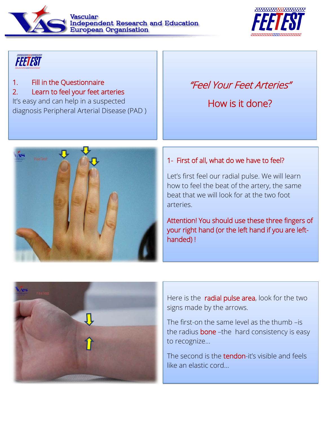Vascular **Independent Research and Education**<br>European Organisation



# **FEETEST**

### 1. Fill in the Questionnaire

#### 2. Learn to feel your feet arteries

It's easy and can help in a suspected diagnosis Peripheral Arterial Disease (PAD )

## "Feel Your Feet Arteries"

How is it done?



#### 1- First of all, what do we have to feel?

Let's first feel our radial pulse. We will learn how to feel the beat of the artery, the same beat that we will look for at the two foot arteries.

Attention! You should use these three fingers of your right hand (or the left hand if you are lefthanded) !



Here is the radial pulse area, look for the two signs made by the arrows.

The first-on the same level as the thumb –is the radius **bone** –the hard consistency is easy to recognize…

The second is the tendon-it's visible and feels like an elastic cord…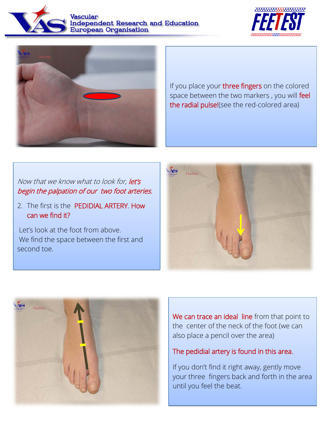





If you place your three fingers on the colored space between the two markers, you will feel the radial pulse!(see the red-colored area)

#### Now that we know what to look for, let's begin the palpation of our two foot arteries.

2. The first is the PEDIDIAL ARTERY. How can we find it?

Let's look at the foot from above. We find the space between the first and second toe.





We can trace an ideal line from that point to the center of the neck of the foot (we can also place a pencil over the area)

#### The pedidial artery is found in this area.

If you don't find it right away, gently move your three fingers back and forth in the area until you feel the beat.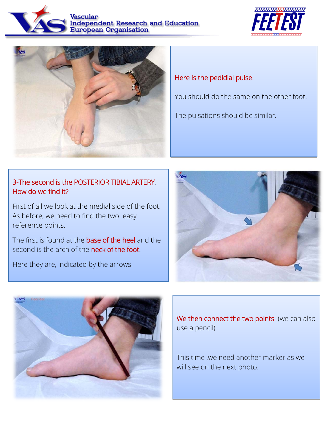





#### 3-The second is the POSTERIOR TIBIAL ARTERY. How do we find it?

First of all we look at the medial side of the foot. As before, we need to find the two easy reference points.

The first is found at the base of the heel and the second is the arch of the neck of the foot.

Here they are, indicated by the arrows.

i



You should do the same on the other foot.

The pulsations should be similar.





We then connect the two points (we can also use a pencil)

This time ,we need another marker as we will see on the next photo.